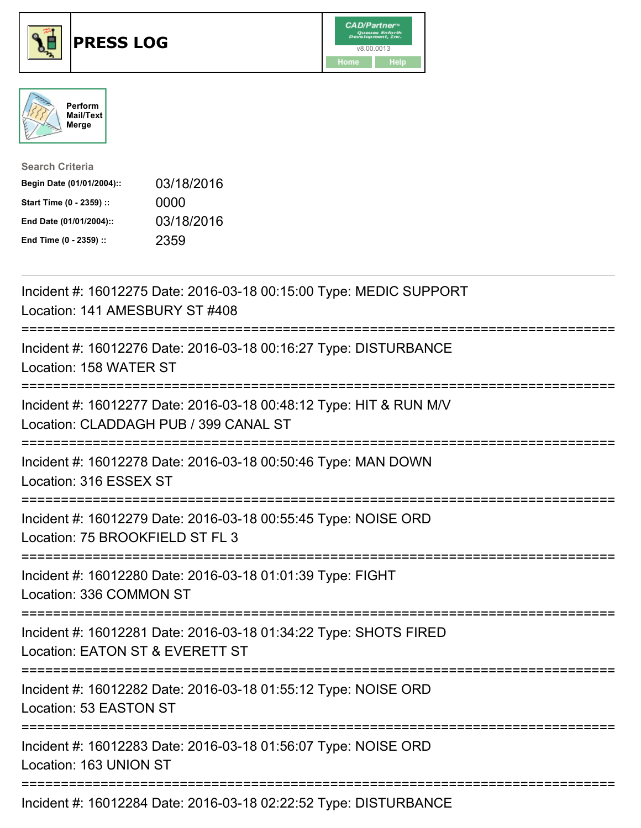





| <b>Search Criteria</b>    |            |
|---------------------------|------------|
| Begin Date (01/01/2004):: | 03/18/2016 |
| Start Time (0 - 2359) ::  | 0000       |
| End Date (01/01/2004)::   | 03/18/2016 |
| End Time (0 - 2359) ::    | 2359       |

| Incident #: 16012275 Date: 2016-03-18 00:15:00 Type: MEDIC SUPPORT<br>Location: 141 AMESBURY ST #408                                  |
|---------------------------------------------------------------------------------------------------------------------------------------|
| Incident #: 16012276 Date: 2016-03-18 00:16:27 Type: DISTURBANCE<br>Location: 158 WATER ST<br>---------------                         |
| Incident #: 16012277 Date: 2016-03-18 00:48:12 Type: HIT & RUN M/V<br>Location: CLADDAGH PUB / 399 CANAL ST                           |
| Incident #: 16012278 Date: 2016-03-18 00:50:46 Type: MAN DOWN<br>Location: 316 ESSEX ST<br>------------------                         |
| Incident #: 16012279 Date: 2016-03-18 00:55:45 Type: NOISE ORD<br>Location: 75 BROOKFIELD ST FL 3<br>:================                |
| Incident #: 16012280 Date: 2016-03-18 01:01:39 Type: FIGHT<br>Location: 336 COMMON ST                                                 |
| Incident #: 16012281 Date: 2016-03-18 01:34:22 Type: SHOTS FIRED<br>Location: EATON ST & EVERETT ST                                   |
| ========================<br>=============<br>Incident #: 16012282 Date: 2016-03-18 01:55:12 Type: NOISE ORD<br>Location: 53 EASTON ST |
| Incident #: 16012283 Date: 2016-03-18 01:56:07 Type: NOISE ORD<br>Location: 163 UNION ST                                              |
| Incident #: 16012284 Date: 2016-03-18 02:22:52 Type: DISTURBANCE                                                                      |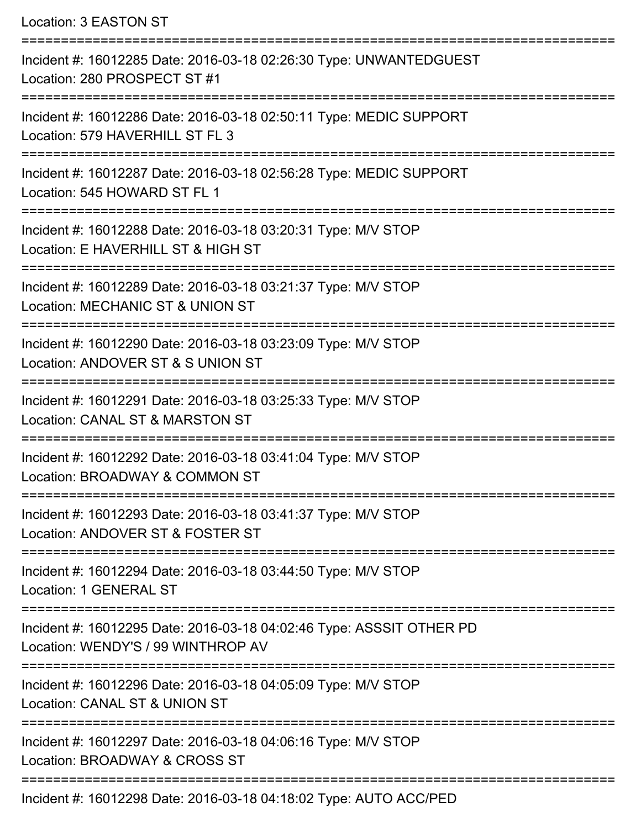Location: 3 EASTON ST =========================================================================== Incident #: 16012285 Date: 2016-03-18 02:26:30 Type: UNWANTEDGUEST Location: 280 PROSPECT ST #1 =========================================================================== Incident #: 16012286 Date: 2016-03-18 02:50:11 Type: MEDIC SUPPORT Location: 579 HAVERHILL ST FL 3 =========================================================================== Incident #: 16012287 Date: 2016-03-18 02:56:28 Type: MEDIC SUPPORT Location: 545 HOWARD ST FL 1 =========================================================================== Incident #: 16012288 Date: 2016-03-18 03:20:31 Type: M/V STOP Location: E HAVERHILL ST & HIGH ST =========================================================================== Incident #: 16012289 Date: 2016-03-18 03:21:37 Type: M/V STOP Location: MECHANIC ST & UNION ST =========================================================================== Incident #: 16012290 Date: 2016-03-18 03:23:09 Type: M/V STOP Location: ANDOVER ST & S UNION ST =========================================================================== Incident #: 16012291 Date: 2016-03-18 03:25:33 Type: M/V STOP Location: CANAL ST & MARSTON ST =========================================================================== Incident #: 16012292 Date: 2016-03-18 03:41:04 Type: M/V STOP Location: BROADWAY & COMMON ST =========================================================================== Incident #: 16012293 Date: 2016-03-18 03:41:37 Type: M/V STOP Location: ANDOVER ST & FOSTER ST =========================================================================== Incident #: 16012294 Date: 2016-03-18 03:44:50 Type: M/V STOP Location: 1 GENERAL ST =========================================================================== Incident #: 16012295 Date: 2016-03-18 04:02:46 Type: ASSSIT OTHER PD Location: WENDY'S / 99 WINTHROP AV =========================================================================== Incident #: 16012296 Date: 2016-03-18 04:05:09 Type: M/V STOP Location: CANAL ST & UNION ST =========================================================================== Incident #: 16012297 Date: 2016-03-18 04:06:16 Type: M/V STOP Location: BROADWAY & CROSS ST =========================================================================== Incident #: 16012298 Date: 2016-03-18 04:18:02 Type: AUTO ACC/PED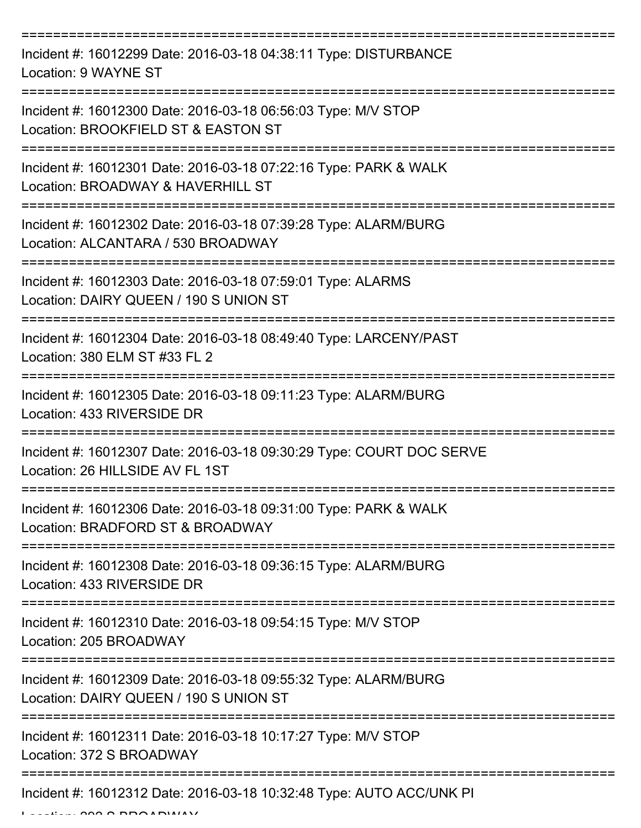| Incident #: 16012299 Date: 2016-03-18 04:38:11 Type: DISTURBANCE<br>Location: 9 WAYNE ST                  |
|-----------------------------------------------------------------------------------------------------------|
| Incident #: 16012300 Date: 2016-03-18 06:56:03 Type: M/V STOP<br>Location: BROOKFIELD ST & EASTON ST      |
| Incident #: 16012301 Date: 2016-03-18 07:22:16 Type: PARK & WALK<br>Location: BROADWAY & HAVERHILL ST     |
| Incident #: 16012302 Date: 2016-03-18 07:39:28 Type: ALARM/BURG<br>Location: ALCANTARA / 530 BROADWAY     |
| Incident #: 16012303 Date: 2016-03-18 07:59:01 Type: ALARMS<br>Location: DAIRY QUEEN / 190 S UNION ST     |
| Incident #: 16012304 Date: 2016-03-18 08:49:40 Type: LARCENY/PAST<br>Location: 380 ELM ST #33 FL 2        |
| Incident #: 16012305 Date: 2016-03-18 09:11:23 Type: ALARM/BURG<br>Location: 433 RIVERSIDE DR             |
| Incident #: 16012307 Date: 2016-03-18 09:30:29 Type: COURT DOC SERVE<br>Location: 26 HILLSIDE AV FL 1ST   |
| Incident #: 16012306 Date: 2016-03-18 09:31:00 Type: PARK & WALK<br>Location: BRADFORD ST & BROADWAY      |
| Incident #: 16012308 Date: 2016-03-18 09:36:15 Type: ALARM/BURG<br>Location: 433 RIVERSIDE DR             |
| Incident #: 16012310 Date: 2016-03-18 09:54:15 Type: M/V STOP<br>Location: 205 BROADWAY                   |
| Incident #: 16012309 Date: 2016-03-18 09:55:32 Type: ALARM/BURG<br>Location: DAIRY QUEEN / 190 S UNION ST |
| Incident #: 16012311 Date: 2016-03-18 10:17:27 Type: M/V STOP<br>Location: 372 S BROADWAY                 |
| Incident #: 16012312 Date: 2016-03-18 10:32:48 Type: AUTO ACC/UNK PI                                      |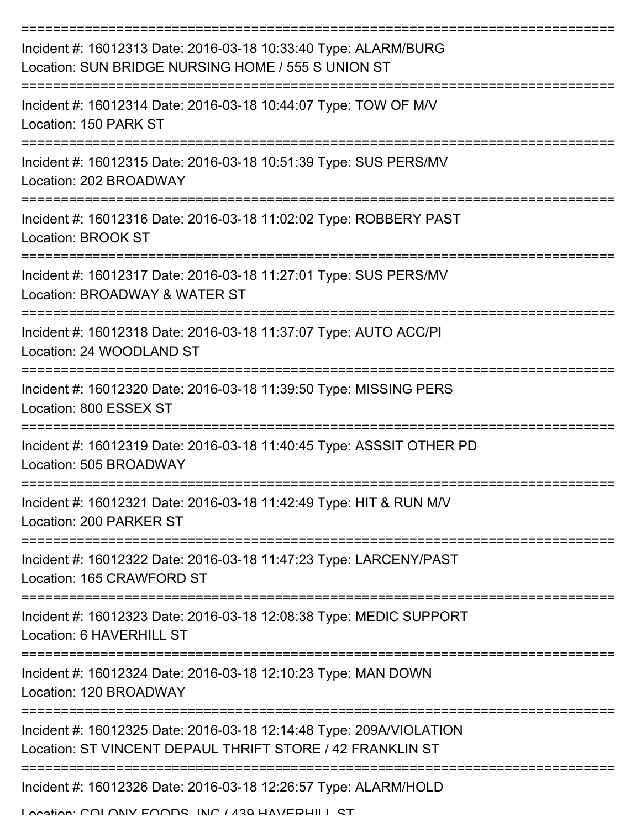| Incident #: 16012313 Date: 2016-03-18 10:33:40 Type: ALARM/BURG<br>Location: SUN BRIDGE NURSING HOME / 555 S UNION ST            |
|----------------------------------------------------------------------------------------------------------------------------------|
| Incident #: 16012314 Date: 2016-03-18 10:44:07 Type: TOW OF M/V<br>Location: 150 PARK ST                                         |
| Incident #: 16012315 Date: 2016-03-18 10:51:39 Type: SUS PERS/MV<br>Location: 202 BROADWAY                                       |
| Incident #: 16012316 Date: 2016-03-18 11:02:02 Type: ROBBERY PAST<br>Location: BROOK ST                                          |
| Incident #: 16012317 Date: 2016-03-18 11:27:01 Type: SUS PERS/MV<br>Location: BROADWAY & WATER ST                                |
| Incident #: 16012318 Date: 2016-03-18 11:37:07 Type: AUTO ACC/PI<br>Location: 24 WOODLAND ST                                     |
| Incident #: 16012320 Date: 2016-03-18 11:39:50 Type: MISSING PERS<br>Location: 800 ESSEX ST                                      |
| Incident #: 16012319 Date: 2016-03-18 11:40:45 Type: ASSSIT OTHER PD<br>Location: 505 BROADWAY                                   |
| Incident #: 16012321 Date: 2016-03-18 11:42:49 Type: HIT & RUN M/V<br>Location: 200 PARKER ST                                    |
| Incident #: 16012322 Date: 2016-03-18 11:47:23 Type: LARCENY/PAST<br>Location: 165 CRAWFORD ST                                   |
| ------------<br>Incident #: 16012323 Date: 2016-03-18 12:08:38 Type: MEDIC SUPPORT<br>Location: 6 HAVERHILL ST                   |
| Incident #: 16012324 Date: 2016-03-18 12:10:23 Type: MAN DOWN<br>Location: 120 BROADWAY                                          |
| Incident #: 16012325 Date: 2016-03-18 12:14:48 Type: 209A/VIOLATION<br>Location: ST VINCENT DEPAUL THRIFT STORE / 42 FRANKLIN ST |
| Incident #: 16012326 Date: 2016-03-18 12:26:57 Type: ALARM/HOLD                                                                  |

Location: COLONIV FOODS, INC / 430 HAVERHILL ST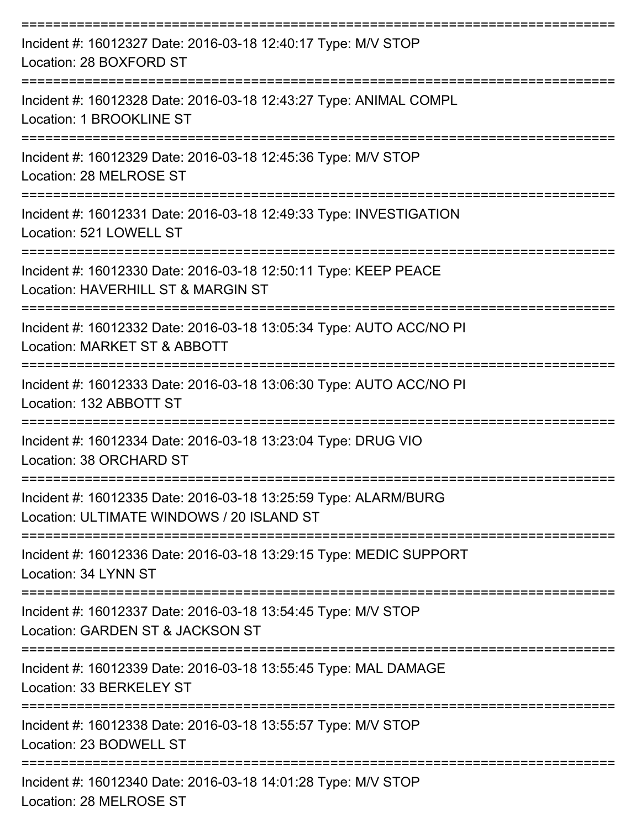| Incident #: 16012327 Date: 2016-03-18 12:40:17 Type: M/V STOP<br>Location: 28 BOXFORD ST                     |
|--------------------------------------------------------------------------------------------------------------|
| Incident #: 16012328 Date: 2016-03-18 12:43:27 Type: ANIMAL COMPL<br>Location: 1 BROOKLINE ST                |
| Incident #: 16012329 Date: 2016-03-18 12:45:36 Type: M/V STOP<br>Location: 28 MELROSE ST                     |
| Incident #: 16012331 Date: 2016-03-18 12:49:33 Type: INVESTIGATION<br>Location: 521 LOWELL ST                |
| Incident #: 16012330 Date: 2016-03-18 12:50:11 Type: KEEP PEACE<br>Location: HAVERHILL ST & MARGIN ST        |
| Incident #: 16012332 Date: 2016-03-18 13:05:34 Type: AUTO ACC/NO PI<br>Location: MARKET ST & ABBOTT          |
| Incident #: 16012333 Date: 2016-03-18 13:06:30 Type: AUTO ACC/NO PI<br>Location: 132 ABBOTT ST               |
| Incident #: 16012334 Date: 2016-03-18 13:23:04 Type: DRUG VIO<br>Location: 38 ORCHARD ST                     |
| Incident #: 16012335 Date: 2016-03-18 13:25:59 Type: ALARM/BURG<br>Location: ULTIMATE WINDOWS / 20 ISLAND ST |
| Incident #: 16012336 Date: 2016-03-18 13:29:15 Type: MEDIC SUPPORT<br>Location: 34 LYNN ST                   |
| Incident #: 16012337 Date: 2016-03-18 13:54:45 Type: M/V STOP<br>Location: GARDEN ST & JACKSON ST            |
| Incident #: 16012339 Date: 2016-03-18 13:55:45 Type: MAL DAMAGE<br>Location: 33 BERKELEY ST                  |
| Incident #: 16012338 Date: 2016-03-18 13:55:57 Type: M/V STOP<br>Location: 23 BODWELL ST                     |
| Incident #: 16012340 Date: 2016-03-18 14:01:28 Type: M/V STOP<br>Location: 28 MELROSE ST                     |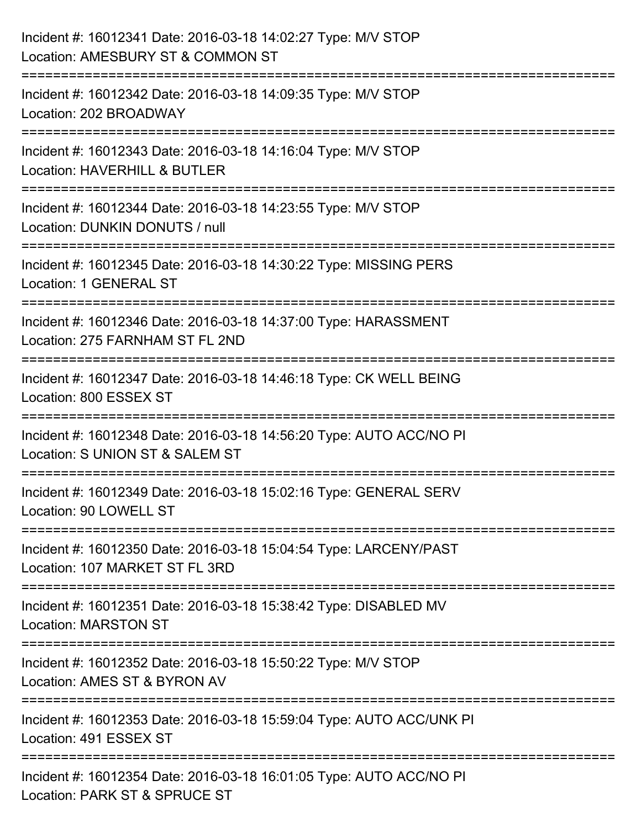| Incident #: 16012341 Date: 2016-03-18 14:02:27 Type: M/V STOP<br>Location: AMESBURY ST & COMMON ST                  |
|---------------------------------------------------------------------------------------------------------------------|
| :=======================<br>Incident #: 16012342 Date: 2016-03-18 14:09:35 Type: M/V STOP<br>Location: 202 BROADWAY |
| Incident #: 16012343 Date: 2016-03-18 14:16:04 Type: M/V STOP<br>Location: HAVERHILL & BUTLER                       |
| Incident #: 16012344 Date: 2016-03-18 14:23:55 Type: M/V STOP<br>Location: DUNKIN DONUTS / null                     |
| Incident #: 16012345 Date: 2016-03-18 14:30:22 Type: MISSING PERS<br>Location: 1 GENERAL ST                         |
| Incident #: 16012346 Date: 2016-03-18 14:37:00 Type: HARASSMENT<br>Location: 275 FARNHAM ST FL 2ND                  |
| Incident #: 16012347 Date: 2016-03-18 14:46:18 Type: CK WELL BEING<br>Location: 800 ESSEX ST                        |
| Incident #: 16012348 Date: 2016-03-18 14:56:20 Type: AUTO ACC/NO PI<br>Location: S UNION ST & SALEM ST              |
| Incident #: 16012349 Date: 2016-03-18 15:02:16 Type: GENERAL SERV<br>Location: 90 LOWELL ST                         |
| Incident #: 16012350 Date: 2016-03-18 15:04:54 Type: LARCENY/PAST<br>Location: 107 MARKET ST FL 3RD                 |
| Incident #: 16012351 Date: 2016-03-18 15:38:42 Type: DISABLED MV<br><b>Location: MARSTON ST</b>                     |
| Incident #: 16012352 Date: 2016-03-18 15:50:22 Type: M/V STOP<br>Location: AMES ST & BYRON AV                       |
| Incident #: 16012353 Date: 2016-03-18 15:59:04 Type: AUTO ACC/UNK PI<br>Location: 491 ESSEX ST                      |
| Incident #: 16012354 Date: 2016-03-18 16:01:05 Type: AUTO ACC/NO PI<br>Location: PARK ST & SPRUCE ST                |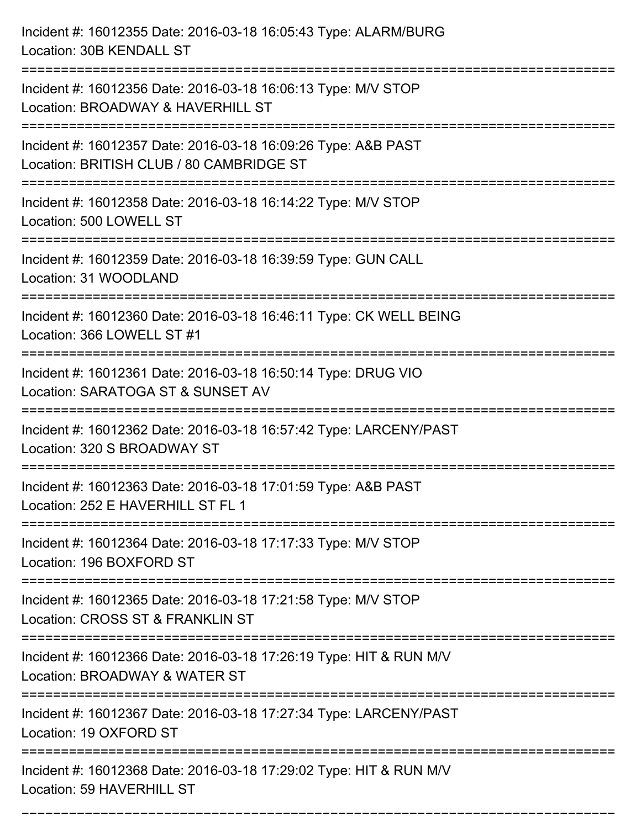Incident #: 16012355 Date: 2016-03-18 16:05:43 Type: ALARM/BURG Location: 30B KENDALL ST =========================================================================== Incident #: 16012356 Date: 2016-03-18 16:06:13 Type: M/V STOP Location: BROADWAY & HAVERHILL ST =========================================================================== Incident #: 16012357 Date: 2016-03-18 16:09:26 Type: A&B PAST Location: BRITISH CLUB / 80 CAMBRIDGE ST =========================================================================== Incident #: 16012358 Date: 2016-03-18 16:14:22 Type: M/V STOP Location: 500 LOWELL ST =========================================================================== Incident #: 16012359 Date: 2016-03-18 16:39:59 Type: GUN CALL Location: 31 WOODLAND =========================================================================== Incident #: 16012360 Date: 2016-03-18 16:46:11 Type: CK WELL BEING Location: 366 LOWELL ST #1 =========================================================================== Incident #: 16012361 Date: 2016-03-18 16:50:14 Type: DRUG VIO Location: SARATOGA ST & SUNSET AV =========================================================================== Incident #: 16012362 Date: 2016-03-18 16:57:42 Type: LARCENY/PAST Location: 320 S BROADWAY ST =========================================================================== Incident #: 16012363 Date: 2016-03-18 17:01:59 Type: A&B PAST Location: 252 E HAVERHILL ST FL 1 =========================================================================== Incident #: 16012364 Date: 2016-03-18 17:17:33 Type: M/V STOP Location: 196 BOXFORD ST =========================================================================== Incident #: 16012365 Date: 2016-03-18 17:21:58 Type: M/V STOP Location: CROSS ST & FRANKLIN ST =========================================================================== Incident #: 16012366 Date: 2016-03-18 17:26:19 Type: HIT & RUN M/V Location: BROADWAY & WATER ST =========================================================================== Incident #: 16012367 Date: 2016-03-18 17:27:34 Type: LARCENY/PAST Location: 19 OXFORD ST =========================================================================== Incident #: 16012368 Date: 2016-03-18 17:29:02 Type: HIT & RUN M/V Location: 59 HAVERHILL ST

===========================================================================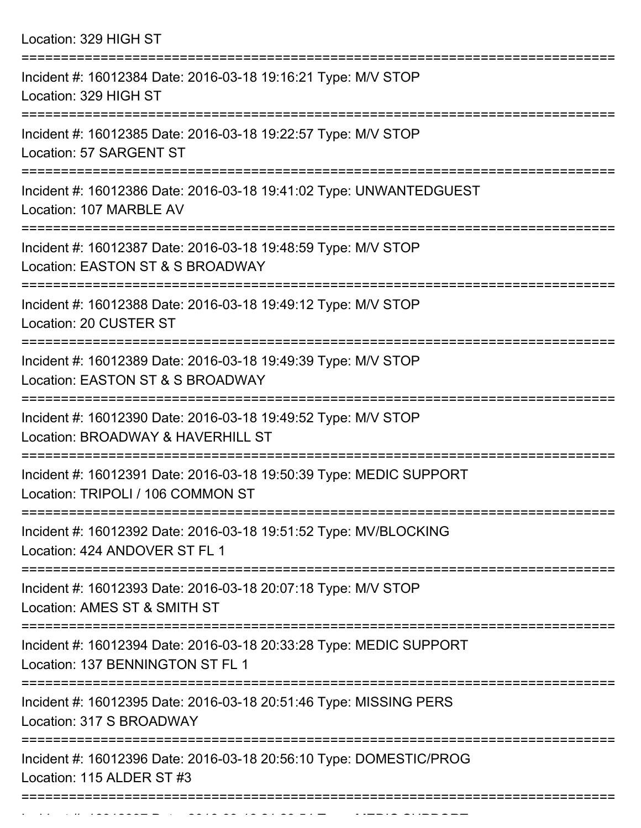| Location: 329 HIGH ST                                                                                                                                                |
|----------------------------------------------------------------------------------------------------------------------------------------------------------------------|
| Incident #: 16012384 Date: 2016-03-18 19:16:21 Type: M/V STOP<br>Location: 329 HIGH ST                                                                               |
| Incident #: 16012385 Date: 2016-03-18 19:22:57 Type: M/V STOP<br>Location: 57 SARGENT ST                                                                             |
| Incident #: 16012386 Date: 2016-03-18 19:41:02 Type: UNWANTEDGUEST<br>Location: 107 MARBLE AV                                                                        |
| Incident #: 16012387 Date: 2016-03-18 19:48:59 Type: M/V STOP<br>Location: EASTON ST & S BROADWAY<br>==================================<br>========================= |
| Incident #: 16012388 Date: 2016-03-18 19:49:12 Type: M/V STOP<br>Location: 20 CUSTER ST                                                                              |
| Incident #: 16012389 Date: 2016-03-18 19:49:39 Type: M/V STOP<br>Location: EASTON ST & S BROADWAY<br>----------------                                                |
| Incident #: 16012390 Date: 2016-03-18 19:49:52 Type: M/V STOP<br>Location: BROADWAY & HAVERHILL ST                                                                   |
| Incident #: 16012391 Date: 2016-03-18 19:50:39 Type: MEDIC SUPPORT<br>Location: TRIPOLI / 106 COMMON ST                                                              |
| Incident #: 16012392 Date: 2016-03-18 19:51:52 Type: MV/BLOCKING<br>Location: 424 ANDOVER ST FL 1                                                                    |
| Incident #: 16012393 Date: 2016-03-18 20:07:18 Type: M/V STOP<br>Location: AMES ST & SMITH ST                                                                        |
| Incident #: 16012394 Date: 2016-03-18 20:33:28 Type: MEDIC SUPPORT<br>Location: 137 BENNINGTON ST FL 1                                                               |
| Incident #: 16012395 Date: 2016-03-18 20:51:46 Type: MISSING PERS<br>Location: 317 S BROADWAY                                                                        |
| Incident #: 16012396 Date: 2016-03-18 20:56:10 Type: DOMESTIC/PROG<br>Location: 115 ALDER ST #3                                                                      |

Incident #: 16012397 Date: 2016 03 18 21:28:54 Type: MEDIC SUPPORT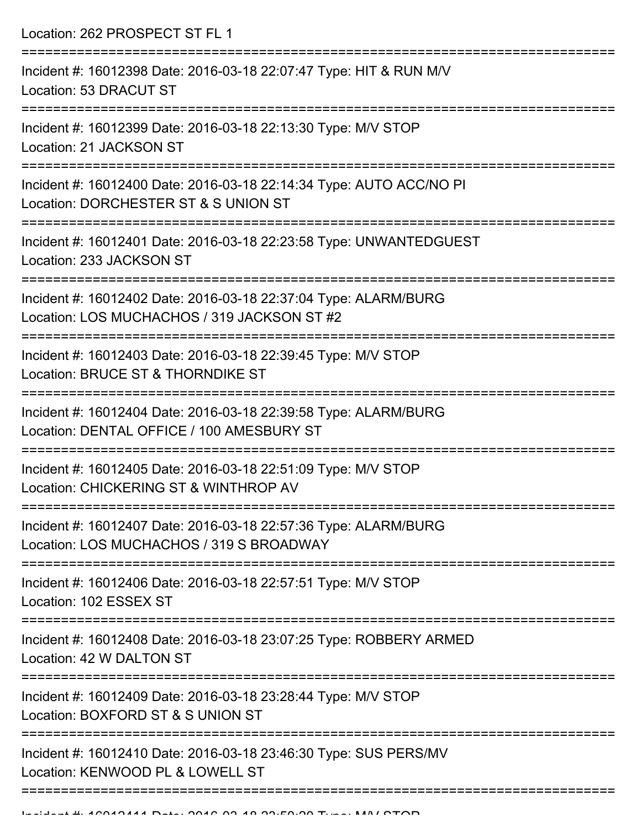Location: 262 PROSPECT ST FL 1 =========================================================================== Incident #: 16012398 Date: 2016-03-18 22:07:47 Type: HIT & RUN M/V Location: 53 DRACUT ST =========================================================================== Incident #: 16012399 Date: 2016-03-18 22:13:30 Type: M/V STOP Location: 21 JACKSON ST =========================================================================== Incident #: 16012400 Date: 2016-03-18 22:14:34 Type: AUTO ACC/NO PI Location: DORCHESTER ST & S UNION ST =========================================================================== Incident #: 16012401 Date: 2016-03-18 22:23:58 Type: UNWANTEDGUEST Location: 233 JACKSON ST =========================================================================== Incident #: 16012402 Date: 2016-03-18 22:37:04 Type: ALARM/BURG Location: LOS MUCHACHOS / 319 JACKSON ST #2 =========================================================================== Incident #: 16012403 Date: 2016-03-18 22:39:45 Type: M/V STOP Location: BRUCE ST & THORNDIKE ST =========================================================================== Incident #: 16012404 Date: 2016-03-18 22:39:58 Type: ALARM/BURG Location: DENTAL OFFICE / 100 AMESBURY ST =========================================================================== Incident #: 16012405 Date: 2016-03-18 22:51:09 Type: M/V STOP Location: CHICKERING ST & WINTHROP AV =========================================================================== Incident #: 16012407 Date: 2016-03-18 22:57:36 Type: ALARM/BURG Location: LOS MUCHACHOS / 319 S BROADWAY =========================================================================== Incident #: 16012406 Date: 2016-03-18 22:57:51 Type: M/V STOP Location: 102 ESSEX ST =========================================================================== Incident #: 16012408 Date: 2016-03-18 23:07:25 Type: ROBBERY ARMED Location: 42 W DALTON ST =========================================================================== Incident #: 16012409 Date: 2016-03-18 23:28:44 Type: M/V STOP Location: BOXFORD ST & S UNION ST =========================================================================== Incident #: 16012410 Date: 2016-03-18 23:46:30 Type: SUS PERS/MV Location: KENWOOD PL & LOWELL ST =============================